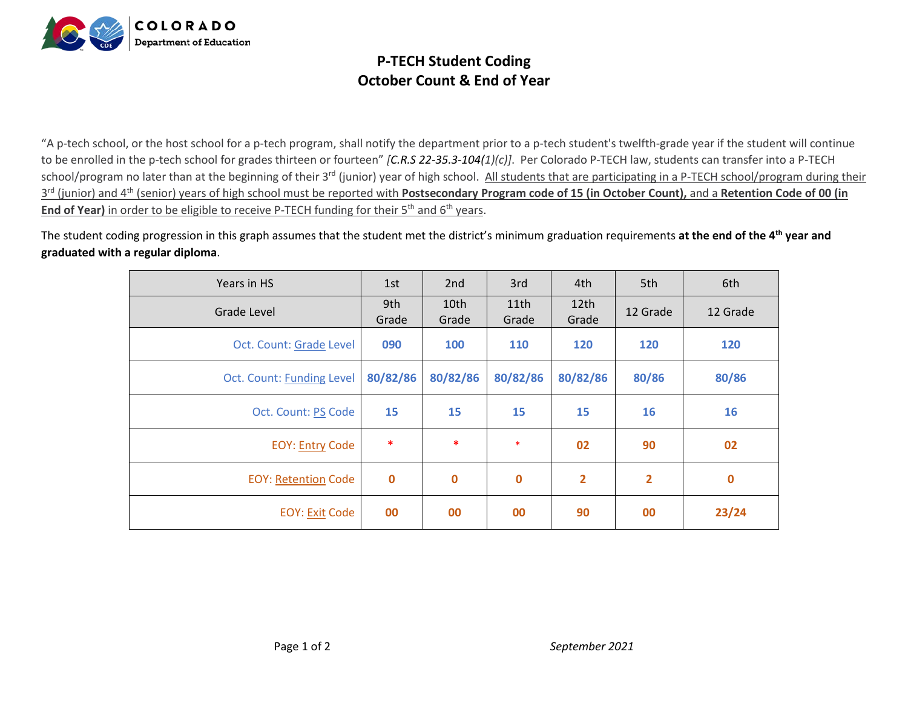

## **P-TECH Student Coding October Count & End of Year**

"A p-tech school, or the host school for a p-tech program, shall notify the department prior to a p-tech student's twelfth-grade year if the student will continue to be enrolled in the p-tech school for grades thirteen or fourteen" *[C.R.S 22-35.3-104(1)(c)]*. Per Colorado P-TECH law, students can transfer into a P-TECH school/program no later than at the beginning of their 3<sup>rd</sup> (junior) year of high school. All students that are participating in a P-TECH school/program during their 3<sup>rd</sup> (junior) and 4<sup>th</sup> (senior) years of high school must be reported with Postsecondary Program code of 15 (in October Count), and a Retention Code of 00 (in **End of Year)** in order to be eligible to receive P-TECH funding for their 5<sup>th</sup> and 6<sup>th</sup> years.

The student coding progression in this graph assumes that the student met the district's minimum graduation requirements **at the end of the 4th year and graduated with a regular diploma**.

| Years in HS                | 1st          | 2nd           | 3rd           | 4th                       | 5th            | 6th      |
|----------------------------|--------------|---------------|---------------|---------------------------|----------------|----------|
| Grade Level                | 9th<br>Grade | 10th<br>Grade | 11th<br>Grade | 12 <sub>th</sub><br>Grade | 12 Grade       | 12 Grade |
| Oct. Count: Grade Level    | 090          | 100           | <b>110</b>    | 120                       | 120            | 120      |
| Oct. Count: Funding Level  | 80/82/86     | 80/82/86      | 80/82/86      | 80/82/86                  | 80/86          | 80/86    |
| Oct. Count: PS Code        | 15           | 15            | 15            | 15                        | 16             | 16       |
| <b>EOY: Entry Code</b>     | $\ast$       | *             | $\ast$        | 02                        | 90             | 02       |
| <b>EOY: Retention Code</b> | $\bf{0}$     | $\bf{0}$      | $\mathbf 0$   | $\overline{2}$            | $\overline{2}$ | $\bf{0}$ |
| <b>EOY: Exit Code</b>      | 00           | 00            | 00            | 90                        | 00             | 23/24    |